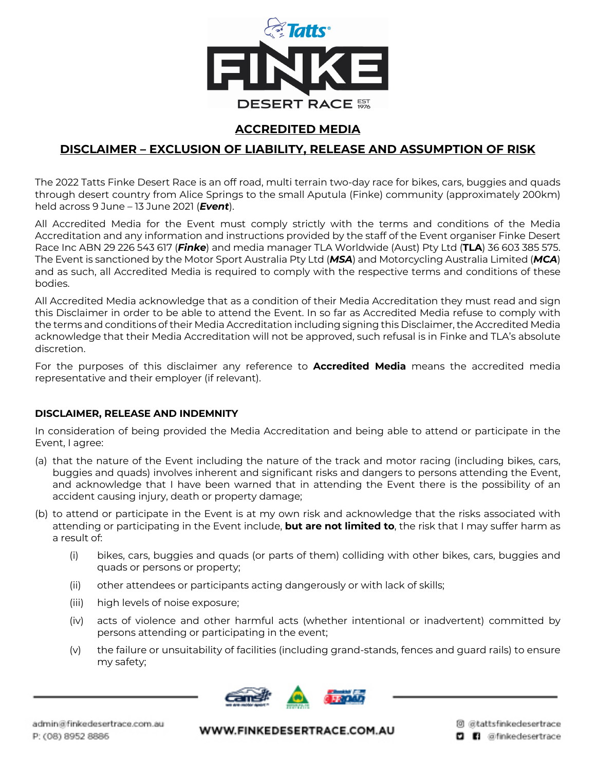

## **ACCREDITED MEDIA**

# **DISCLAIMER – EXCLUSION OF LIABILITY, RELEASE AND ASSUMPTION OF RISK**

The 2022 Tatts Finke Desert Race is an off road, multi terrain two-day race for bikes, cars, buggies and quads through desert country from Alice Springs to the small Aputula (Finke) community (approximately 200km) held across 9 June – 13 June 2021 (*Event*).

All Accredited Media for the Event must comply strictly with the terms and conditions of the Media Accreditation and any information and instructions provided by the staff of the Event organiser Finke Desert Race Inc ABN 29 226 543 617 (*Finke*) and media manager TLA Worldwide (Aust) Pty Ltd (**TLA**) 36 603 385 575. The Event is sanctioned by the Motor Sport Australia Pty Ltd (*MSA*) and Motorcycling Australia Limited (*MCA*) and as such, all Accredited Media is required to comply with the respective terms and conditions of these bodies.

All Accredited Media acknowledge that as a condition of their Media Accreditation they must read and sign this Disclaimer in order to be able to attend the Event. In so far as Accredited Media refuse to comply with the terms and conditions of their Media Accreditation including signing this Disclaimer, the Accredited Media acknowledge that their Media Accreditation will not be approved, such refusal is in Finke and TLA's absolute discretion.

For the purposes of this disclaimer any reference to **Accredited Media** means the accredited media representative and their employer (if relevant).

#### **DISCLAIMER, RELEASE AND INDEMNITY**

In consideration of being provided the Media Accreditation and being able to attend or participate in the Event, I agree:

- (a) that the nature of the Event including the nature of the track and motor racing (including bikes, cars, buggies and quads) involves inherent and significant risks and dangers to persons attending the Event, and acknowledge that I have been warned that in attending the Event there is the possibility of an accident causing injury, death or property damage;
- (b) to attend or participate in the Event is at my own risk and acknowledge that the risks associated with attending or participating in the Event include, **but are not limited to**, the risk that I may suffer harm as a result of:
	- (i) bikes, cars, buggies and quads (or parts of them) colliding with other bikes, cars, buggies and quads or persons or property;
	- (ii) other attendees or participants acting dangerously or with lack of skills;
	- (iii) high levels of noise exposure;
	- (iv) acts of violence and other harmful acts (whether intentional or inadvertent) committed by persons attending or participating in the event;
	- (v) the failure or unsuitability of facilities (including grand-stands, fences and guard rails) to ensure my safety;

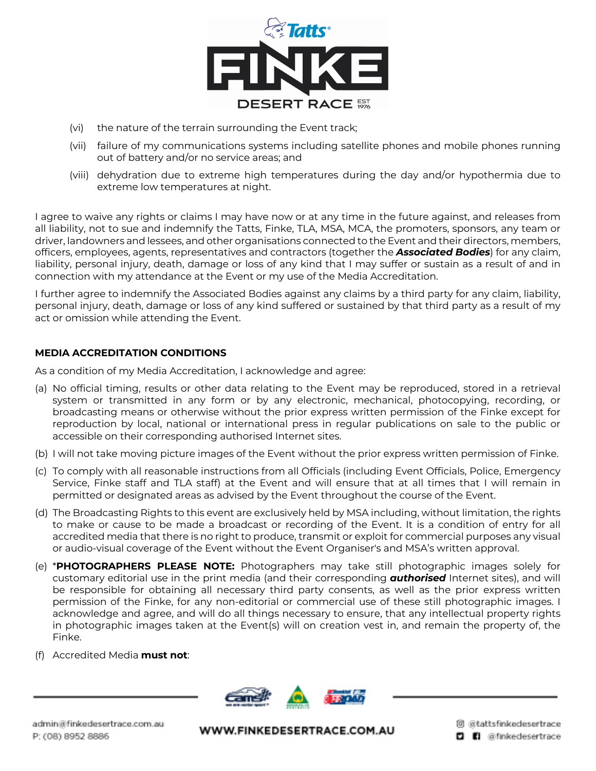

- (vi) the nature of the terrain surrounding the Event track;
- (vii) failure of my communications systems including satellite phones and mobile phones running out of battery and/or no service areas; and
- (viii) dehydration due to extreme high temperatures during the day and/or hypothermia due to extreme low temperatures at night.

I agree to waive any rights or claims I may have now or at any time in the future against, and releases from all liability, not to sue and indemnify the Tatts, Finke, TLA, MSA, MCA, the promoters, sponsors, any team or driver, landowners and lessees, and other organisations connected to the Event and their directors, members, officers, employees, agents, representatives and contractors (together the *Associated Bodies*) for any claim, liability, personal injury, death, damage or loss of any kind that I may suffer or sustain as a result of and in connection with my attendance at the Event or my use of the Media Accreditation.

I further agree to indemnify the Associated Bodies against any claims by a third party for any claim, liability, personal injury, death, damage or loss of any kind suffered or sustained by that third party as a result of my act or omission while attending the Event.

#### **MEDIA ACCREDITATION CONDITIONS**

As a condition of my Media Accreditation, I acknowledge and agree:

- (a) No official timing, results or other data relating to the Event may be reproduced, stored in a retrieval system or transmitted in any form or by any electronic, mechanical, photocopying, recording, or broadcasting means or otherwise without the prior express written permission of the Finke except for reproduction by local, national or international press in regular publications on sale to the public or accessible on their corresponding authorised Internet sites.
- (b) I will not take moving picture images of the Event without the prior express written permission of Finke.
- (c) To comply with all reasonable instructions from all Officials (including Event Officials, Police, Emergency Service, Finke staff and TLA staff) at the Event and will ensure that at all times that I will remain in permitted or designated areas as advised by the Event throughout the course of the Event.
- (d) The Broadcasting Rights to this event are exclusively held by MSA including, without limitation, the rights to make or cause to be made a broadcast or recording of the Event. It is a condition of entry for all accredited media that there is no right to produce, transmit or exploit for commercial purposes any visual or audio-visual coverage of the Event without the Event Organiser's and MSA's written approval.
- (e) \***PHOTOGRAPHERS PLEASE NOTE:** Photographers may take still photographic images solely for customary editorial use in the print media (and their corresponding *authorised* Internet sites), and will be responsible for obtaining all necessary third party consents, as well as the prior express written permission of the Finke, for any non-editorial or commercial use of these still photographic images. I acknowledge and agree, and will do all things necessary to ensure, that any intellectual property rights in photographic images taken at the Event(s) will on creation vest in, and remain the property of, the Finke.
- (f) Accredited Media **must not**:

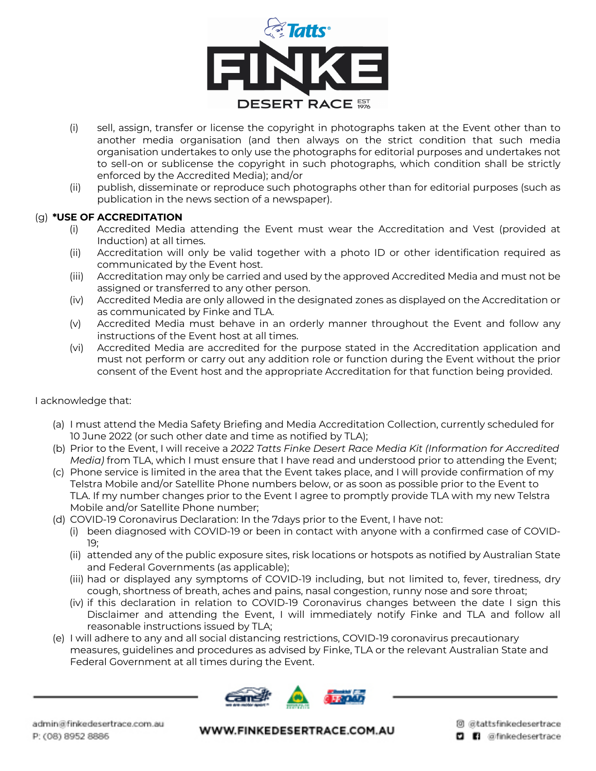

- (i) sell, assign, transfer or license the copyright in photographs taken at the Event other than to another media organisation (and then always on the strict condition that such media organisation undertakes to only use the photographs for editorial purposes and undertakes not to sell-on or sublicense the copyright in such photographs, which condition shall be strictly enforced by the Accredited Media); and/or
- (ii) publish, disseminate or reproduce such photographs other than for editorial purposes (such as publication in the news section of a newspaper).

#### (g) **\*USE OF ACCREDITATION**

- (i) Accredited Media attending the Event must wear the Accreditation and Vest (provided at Induction) at all times.
- (ii) Accreditation will only be valid together with a photo ID or other identification required as communicated by the Event host.
- (iii) Accreditation may only be carried and used by the approved Accredited Media and must not be assigned or transferred to any other person.
- (iv) Accredited Media are only allowed in the designated zones as displayed on the Accreditation or as communicated by Finke and TLA.
- (v) Accredited Media must behave in an orderly manner throughout the Event and follow any instructions of the Event host at all times.
- (vi) Accredited Media are accredited for the purpose stated in the Accreditation application and must not perform or carry out any addition role or function during the Event without the prior consent of the Event host and the appropriate Accreditation for that function being provided.

### I acknowledge that:

- (a) I must attend the Media Safety Briefing and Media Accreditation Collection, currently scheduled for 10 June 2022 (or such other date and time as notified by TLA);
- (b) Prior to the Event, I will receive a *2022 Tatts Finke Desert Race Media Kit (Information for Accredited Media)* from TLA, which I must ensure that I have read and understood prior to attending the Event;
- (c) Phone service is limited in the area that the Event takes place, and I will provide confirmation of my Telstra Mobile and/or Satellite Phone numbers below, or as soon as possible prior to the Event to TLA. If my number changes prior to the Event I agree to promptly provide TLA with my new Telstra Mobile and/or Satellite Phone number;
- (d) COVID-19 Coronavirus Declaration: In the 7days prior to the Event, I have not:
	- (i) been diagnosed with COVID-19 or been in contact with anyone with a confirmed case of COVID-19;
	- (ii) attended any of the public exposure sites, risk locations or hotspots as notified by Australian State and Federal Governments (as applicable);
	- (iii) had or displayed any symptoms of COVID-19 including, but not limited to, fever, tiredness, dry cough, shortness of breath, aches and pains, nasal congestion, runny nose and sore throat;
	- (iv) if this declaration in relation to COVID-19 Coronavirus changes between the date I sign this Disclaimer and attending the Event, I will immediately notify Finke and TLA and follow all reasonable instructions issued by TLA;
- (e) I will adhere to any and all social distancing restrictions, COVID-19 coronavirus precautionary measures, guidelines and procedures as advised by Finke, TLA or the relevant Australian State and Federal Government at all times during the Event.